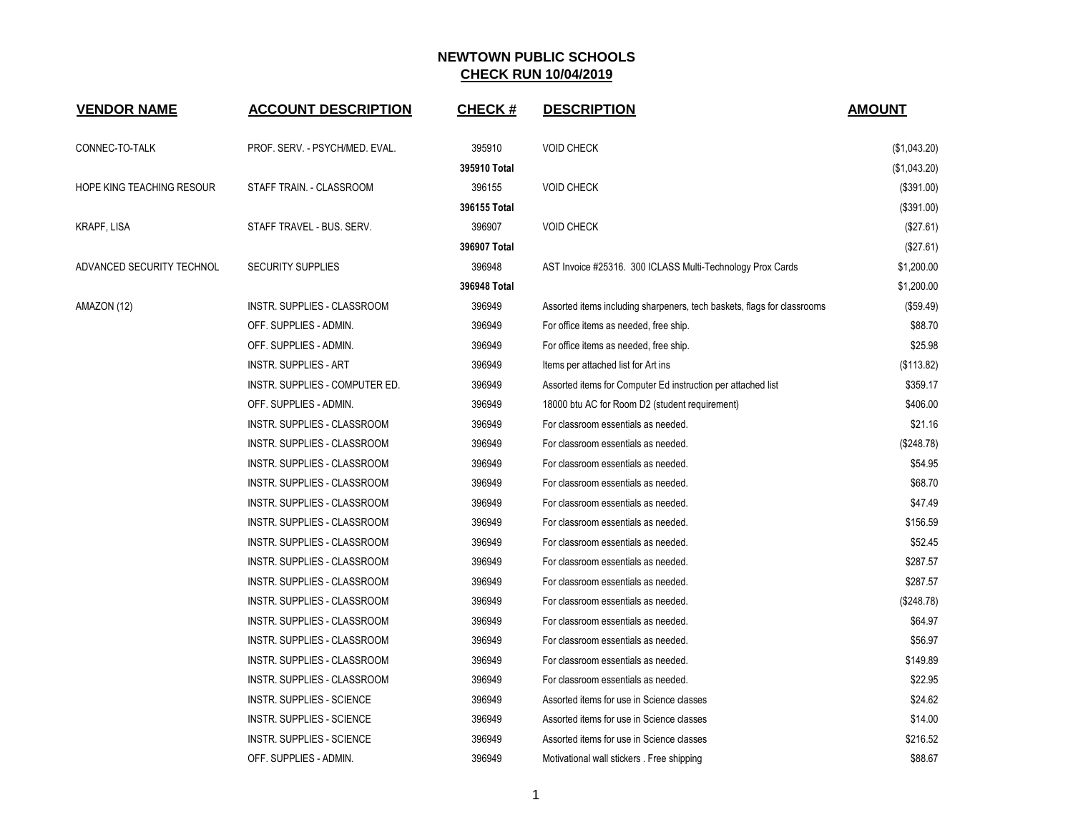| <b>VENDOR NAME</b>        | <b>ACCOUNT DESCRIPTION</b>       | <b>CHECK#</b> | <b>DESCRIPTION</b>                                                      | <b>AMOUNT</b> |
|---------------------------|----------------------------------|---------------|-------------------------------------------------------------------------|---------------|
| CONNEC-TO-TALK            | PROF. SERV. - PSYCH/MED. EVAL.   | 395910        | <b>VOID CHECK</b>                                                       | (\$1,043.20)  |
|                           |                                  | 395910 Total  |                                                                         | (\$1,043.20)  |
| HOPE KING TEACHING RESOUR | STAFF TRAIN. - CLASSROOM         | 396155        | <b>VOID CHECK</b>                                                       | (\$391.00)    |
|                           |                                  | 396155 Total  |                                                                         | (\$391.00)    |
| KRAPF, LISA               | STAFF TRAVEL - BUS. SERV.        | 396907        | <b>VOID CHECK</b>                                                       | (\$27.61)     |
|                           |                                  | 396907 Total  |                                                                         | (\$27.61)     |
| ADVANCED SECURITY TECHNOL | <b>SECURITY SUPPLIES</b>         | 396948        | AST Invoice #25316. 300 ICLASS Multi-Technology Prox Cards              | \$1,200.00    |
|                           |                                  | 396948 Total  |                                                                         | \$1,200.00    |
| AMAZON (12)               | INSTR. SUPPLIES - CLASSROOM      | 396949        | Assorted items including sharpeners, tech baskets, flags for classrooms | (\$59.49)     |
|                           | OFF. SUPPLIES - ADMIN.           | 396949        | For office items as needed, free ship.                                  | \$88.70       |
|                           | OFF. SUPPLIES - ADMIN.           | 396949        | For office items as needed, free ship.                                  | \$25.98       |
|                           | <b>INSTR. SUPPLIES - ART</b>     | 396949        | Items per attached list for Art ins                                     | (\$113.82)    |
|                           | INSTR. SUPPLIES - COMPUTER ED.   | 396949        | Assorted items for Computer Ed instruction per attached list            | \$359.17      |
|                           | OFF. SUPPLIES - ADMIN.           | 396949        | 18000 btu AC for Room D2 (student requirement)                          | \$406.00      |
|                           | INSTR. SUPPLIES - CLASSROOM      | 396949        | For classroom essentials as needed.                                     | \$21.16       |
|                           | INSTR. SUPPLIES - CLASSROOM      | 396949        | For classroom essentials as needed.                                     | (\$248.78)    |
|                           | INSTR. SUPPLIES - CLASSROOM      | 396949        | For classroom essentials as needed.                                     | \$54.95       |
|                           | INSTR. SUPPLIES - CLASSROOM      | 396949        | For classroom essentials as needed.                                     | \$68.70       |
|                           | INSTR. SUPPLIES - CLASSROOM      | 396949        | For classroom essentials as needed.                                     | \$47.49       |
|                           | INSTR. SUPPLIES - CLASSROOM      | 396949        | For classroom essentials as needed.                                     | \$156.59      |
|                           | INSTR. SUPPLIES - CLASSROOM      | 396949        | For classroom essentials as needed.                                     | \$52.45       |
|                           | INSTR. SUPPLIES - CLASSROOM      | 396949        | For classroom essentials as needed.                                     | \$287.57      |
|                           | INSTR. SUPPLIES - CLASSROOM      | 396949        | For classroom essentials as needed.                                     | \$287.57      |
|                           | INSTR. SUPPLIES - CLASSROOM      | 396949        | For classroom essentials as needed.                                     | (\$248.78)    |
|                           | INSTR. SUPPLIES - CLASSROOM      | 396949        | For classroom essentials as needed.                                     | \$64.97       |
|                           | INSTR. SUPPLIES - CLASSROOM      | 396949        | For classroom essentials as needed.                                     | \$56.97       |
|                           | INSTR. SUPPLIES - CLASSROOM      | 396949        | For classroom essentials as needed.                                     | \$149.89      |
|                           | INSTR. SUPPLIES - CLASSROOM      | 396949        | For classroom essentials as needed.                                     | \$22.95       |
|                           | <b>INSTR. SUPPLIES - SCIENCE</b> | 396949        | Assorted items for use in Science classes                               | \$24.62       |
|                           | <b>INSTR. SUPPLIES - SCIENCE</b> | 396949        | Assorted items for use in Science classes                               | \$14.00       |
|                           | <b>INSTR. SUPPLIES - SCIENCE</b> | 396949        | Assorted items for use in Science classes                               | \$216.52      |
|                           | OFF. SUPPLIES - ADMIN.           | 396949        | Motivational wall stickers . Free shipping                              | \$88.67       |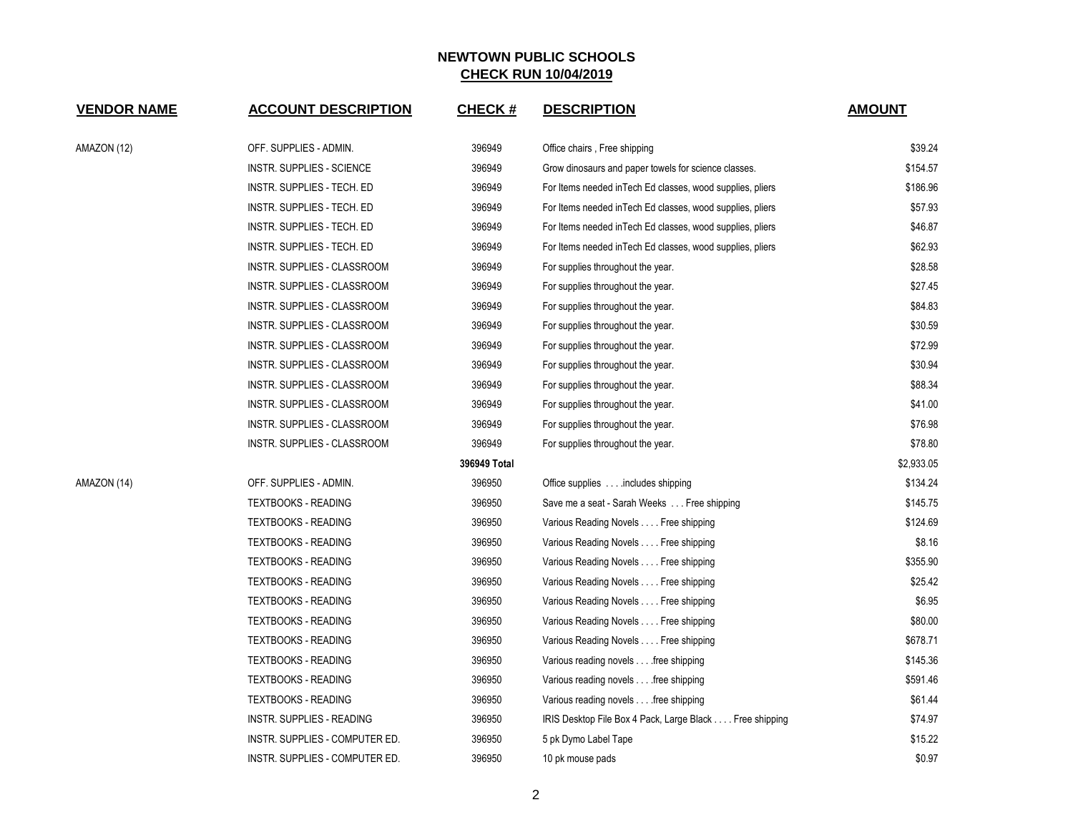| <b>VENDOR NAME</b> | <b>ACCOUNT DESCRIPTION</b>     | <b>CHECK#</b> | <b>DESCRIPTION</b>                                         | <b>AMOUNT</b> |
|--------------------|--------------------------------|---------------|------------------------------------------------------------|---------------|
| AMAZON (12)        | OFF. SUPPLIES - ADMIN.         | 396949        | Office chairs, Free shipping                               | \$39.24       |
|                    | INSTR. SUPPLIES - SCIENCE      | 396949        | Grow dinosaurs and paper towels for science classes.       | \$154.57      |
|                    | INSTR. SUPPLIES - TECH. ED     | 396949        | For Items needed in Tech Ed classes, wood supplies, pliers | \$186.96      |
|                    | INSTR. SUPPLIES - TECH. ED     | 396949        | For Items needed in Tech Ed classes, wood supplies, pliers | \$57.93       |
|                    | INSTR. SUPPLIES - TECH. ED     | 396949        | For Items needed in Tech Ed classes, wood supplies, pliers | \$46.87       |
|                    | INSTR. SUPPLIES - TECH. ED     | 396949        | For Items needed in Tech Ed classes, wood supplies, pliers | \$62.93       |
|                    | INSTR. SUPPLIES - CLASSROOM    | 396949        | For supplies throughout the year.                          | \$28.58       |
|                    | INSTR. SUPPLIES - CLASSROOM    | 396949        | For supplies throughout the year.                          | \$27.45       |
|                    | INSTR. SUPPLIES - CLASSROOM    | 396949        | For supplies throughout the year.                          | \$84.83       |
|                    | INSTR. SUPPLIES - CLASSROOM    | 396949        | For supplies throughout the year.                          | \$30.59       |
|                    | INSTR. SUPPLIES - CLASSROOM    | 396949        | For supplies throughout the year.                          | \$72.99       |
|                    | INSTR. SUPPLIES - CLASSROOM    | 396949        | For supplies throughout the year.                          | \$30.94       |
|                    | INSTR. SUPPLIES - CLASSROOM    | 396949        | For supplies throughout the year.                          | \$88.34       |
|                    | INSTR. SUPPLIES - CLASSROOM    | 396949        | For supplies throughout the year.                          | \$41.00       |
|                    | INSTR. SUPPLIES - CLASSROOM    | 396949        | For supplies throughout the year.                          | \$76.98       |
|                    | INSTR. SUPPLIES - CLASSROOM    | 396949        | For supplies throughout the year.                          | \$78.80       |
|                    |                                | 396949 Total  |                                                            | \$2,933.05    |
| AMAZON (14)        | OFF. SUPPLIES - ADMIN.         | 396950        | Office supplies includes shipping                          | \$134.24      |
|                    | <b>TEXTBOOKS - READING</b>     | 396950        | Save me a seat - Sarah Weeks Free shipping                 | \$145.75      |
|                    | <b>TEXTBOOKS - READING</b>     | 396950        | Various Reading Novels Free shipping                       | \$124.69      |
|                    | <b>TEXTBOOKS - READING</b>     | 396950        | Various Reading Novels Free shipping                       | \$8.16        |
|                    | <b>TEXTBOOKS - READING</b>     | 396950        | Various Reading Novels Free shipping                       | \$355.90      |
|                    | <b>TEXTBOOKS - READING</b>     | 396950        | Various Reading Novels Free shipping                       | \$25.42       |
|                    | <b>TEXTBOOKS - READING</b>     | 396950        | Various Reading Novels Free shipping                       | \$6.95        |
|                    | <b>TEXTBOOKS - READING</b>     | 396950        | Various Reading Novels Free shipping                       | \$80.00       |
|                    | <b>TEXTBOOKS - READING</b>     | 396950        | Various Reading Novels Free shipping                       | \$678.71      |
|                    | <b>TEXTBOOKS - READING</b>     | 396950        | Various reading novels free shipping                       | \$145.36      |
|                    | <b>TEXTBOOKS - READING</b>     | 396950        | Various reading novels free shipping                       | \$591.46      |
|                    | <b>TEXTBOOKS - READING</b>     | 396950        | Various reading novels free shipping                       | \$61.44       |
|                    | INSTR. SUPPLIES - READING      | 396950        | IRIS Desktop File Box 4 Pack, Large Black Free shipping    | \$74.97       |
|                    | INSTR. SUPPLIES - COMPUTER ED. | 396950        | 5 pk Dymo Label Tape                                       | \$15.22       |
|                    | INSTR. SUPPLIES - COMPUTER ED. | 396950        | 10 pk mouse pads                                           | \$0.97        |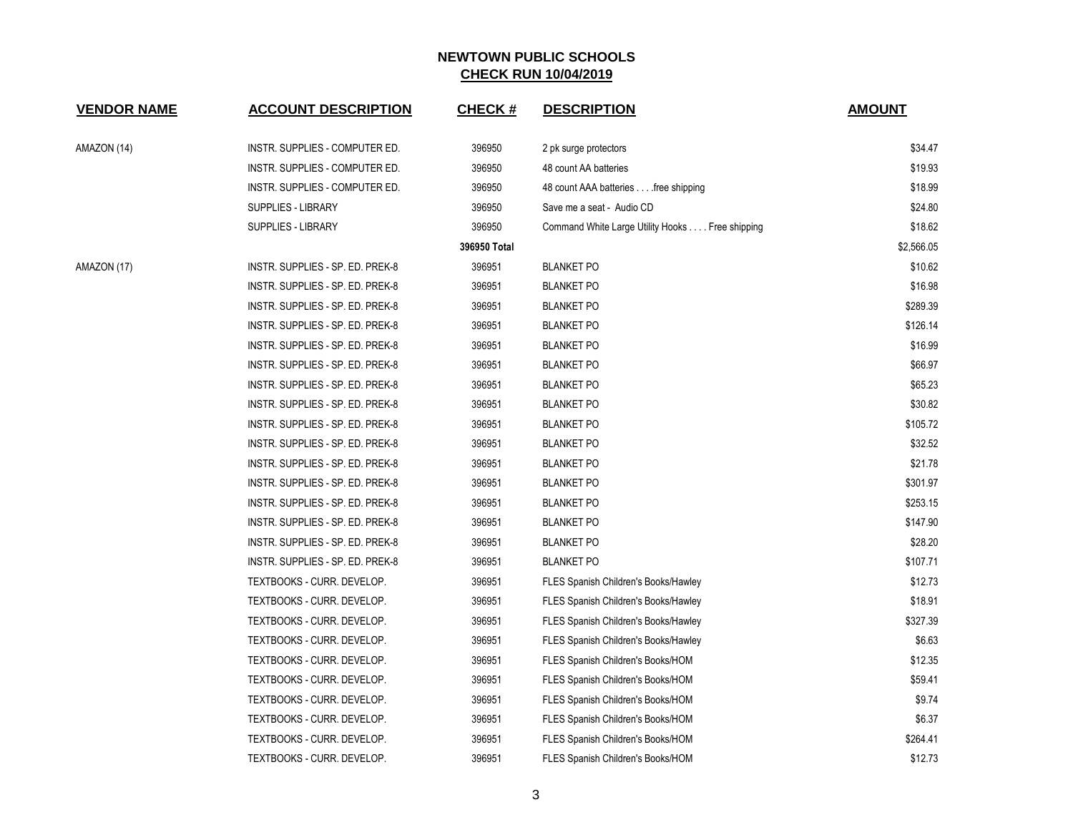| <b>VENDOR NAME</b> | <b>ACCOUNT DESCRIPTION</b>       | <b>CHECK#</b> | <b>DESCRIPTION</b>                              | <b>AMOUNT</b> |
|--------------------|----------------------------------|---------------|-------------------------------------------------|---------------|
| AMAZON (14)        | INSTR. SUPPLIES - COMPUTER ED.   | 396950        | 2 pk surge protectors                           | \$34.47       |
|                    | INSTR. SUPPLIES - COMPUTER ED.   | 396950        | 48 count AA batteries                           | \$19.93       |
|                    | INSTR. SUPPLIES - COMPUTER ED.   | 396950        | 48 count AAA batteries free shipping            | \$18.99       |
|                    | <b>SUPPLIES - LIBRARY</b>        | 396950        | Save me a seat - Audio CD                       | \$24.80       |
|                    | <b>SUPPLIES - LIBRARY</b>        | 396950        | Command White Large Utility Hooks Free shipping | \$18.62       |
|                    |                                  | 396950 Total  |                                                 | \$2,566.05    |
| AMAZON (17)        | INSTR. SUPPLIES - SP. ED. PREK-8 | 396951        | <b>BLANKET PO</b>                               | \$10.62       |
|                    | INSTR. SUPPLIES - SP. ED. PREK-8 | 396951        | <b>BLANKET PO</b>                               | \$16.98       |
|                    | INSTR. SUPPLIES - SP. ED. PREK-8 | 396951        | <b>BLANKET PO</b>                               | \$289.39      |
|                    | INSTR. SUPPLIES - SP. ED. PREK-8 | 396951        | <b>BLANKET PO</b>                               | \$126.14      |
|                    | INSTR. SUPPLIES - SP. ED. PREK-8 | 396951        | <b>BLANKET PO</b>                               | \$16.99       |
|                    | INSTR. SUPPLIES - SP. ED. PREK-8 | 396951        | <b>BLANKET PO</b>                               | \$66.97       |
|                    | INSTR. SUPPLIES - SP. ED. PREK-8 | 396951        | <b>BLANKET PO</b>                               | \$65.23       |
|                    | INSTR. SUPPLIES - SP. ED. PREK-8 | 396951        | <b>BLANKET PO</b>                               | \$30.82       |
|                    | INSTR. SUPPLIES - SP. ED. PREK-8 | 396951        | <b>BLANKET PO</b>                               | \$105.72      |
|                    | INSTR. SUPPLIES - SP. ED. PREK-8 | 396951        | <b>BLANKET PO</b>                               | \$32.52       |
|                    | INSTR. SUPPLIES - SP. ED. PREK-8 | 396951        | <b>BLANKET PO</b>                               | \$21.78       |
|                    | INSTR. SUPPLIES - SP. ED. PREK-8 | 396951        | <b>BLANKET PO</b>                               | \$301.97      |
|                    | INSTR. SUPPLIES - SP. ED. PREK-8 | 396951        | <b>BLANKET PO</b>                               | \$253.15      |
|                    | INSTR. SUPPLIES - SP. ED. PREK-8 | 396951        | <b>BLANKET PO</b>                               | \$147.90      |
|                    | INSTR. SUPPLIES - SP. ED. PREK-8 | 396951        | <b>BLANKET PO</b>                               | \$28.20       |
|                    | INSTR. SUPPLIES - SP. ED. PREK-8 | 396951        | <b>BLANKET PO</b>                               | \$107.71      |
|                    | TEXTBOOKS - CURR. DEVELOP.       | 396951        | FLES Spanish Children's Books/Hawley            | \$12.73       |
|                    | TEXTBOOKS - CURR. DEVELOP.       | 396951        | FLES Spanish Children's Books/Hawley            | \$18.91       |
|                    | TEXTBOOKS - CURR. DEVELOP.       | 396951        | FLES Spanish Children's Books/Hawley            | \$327.39      |
|                    | TEXTBOOKS - CURR. DEVELOP.       | 396951        | FLES Spanish Children's Books/Hawley            | \$6.63        |
|                    | TEXTBOOKS - CURR. DEVELOP.       | 396951        | FLES Spanish Children's Books/HOM               | \$12.35       |
|                    | TEXTBOOKS - CURR. DEVELOP.       | 396951        | FLES Spanish Children's Books/HOM               | \$59.41       |
|                    | TEXTBOOKS - CURR. DEVELOP.       | 396951        | FLES Spanish Children's Books/HOM               | \$9.74        |
|                    | TEXTBOOKS - CURR. DEVELOP.       | 396951        | FLES Spanish Children's Books/HOM               | \$6.37        |
|                    | TEXTBOOKS - CURR. DEVELOP.       | 396951        | FLES Spanish Children's Books/HOM               | \$264.41      |
|                    | TEXTBOOKS - CURR. DEVELOP.       | 396951        | FLES Spanish Children's Books/HOM               | \$12.73       |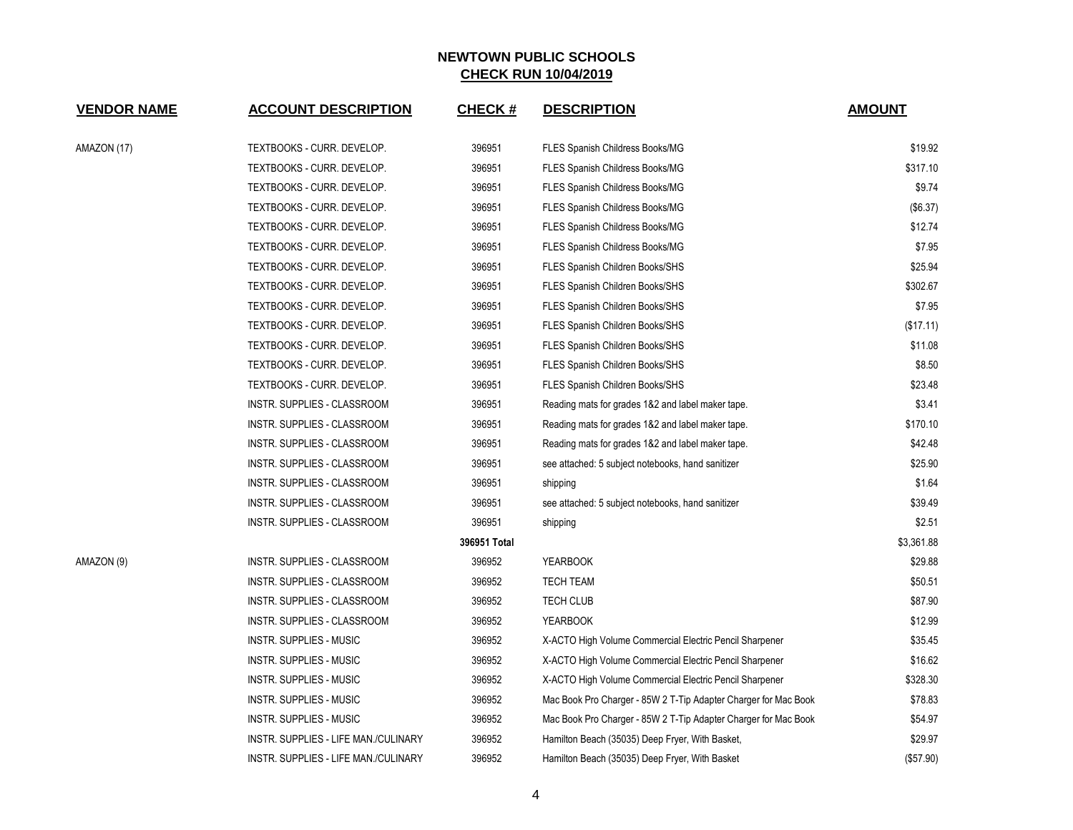| <b>VENDOR NAME</b> | <b>ACCOUNT DESCRIPTION</b>           | <b>CHECK#</b> | <b>DESCRIPTION</b>                                              | <b>AMOUNT</b> |
|--------------------|--------------------------------------|---------------|-----------------------------------------------------------------|---------------|
| AMAZON (17)        | TEXTBOOKS - CURR. DEVELOP.           | 396951        | FLES Spanish Childress Books/MG                                 | \$19.92       |
|                    | TEXTBOOKS - CURR. DEVELOP.           | 396951        | FLES Spanish Childress Books/MG                                 | \$317.10      |
|                    | TEXTBOOKS - CURR. DEVELOP.           | 396951        | FLES Spanish Childress Books/MG                                 | \$9.74        |
|                    | TEXTBOOKS - CURR. DEVELOP.           | 396951        | <b>FLES Spanish Childress Books/MG</b>                          | (\$6.37)      |
|                    | TEXTBOOKS - CURR. DEVELOP.           | 396951        | FLES Spanish Childress Books/MG                                 | \$12.74       |
|                    | TEXTBOOKS - CURR. DEVELOP.           | 396951        | FLES Spanish Childress Books/MG                                 | \$7.95        |
|                    | TEXTBOOKS - CURR. DEVELOP.           | 396951        | <b>FLES Spanish Children Books/SHS</b>                          | \$25.94       |
|                    | TEXTBOOKS - CURR. DEVELOP.           | 396951        | FLES Spanish Children Books/SHS                                 | \$302.67      |
|                    | TEXTBOOKS - CURR. DEVELOP.           | 396951        | FLES Spanish Children Books/SHS                                 | \$7.95        |
|                    | TEXTBOOKS - CURR. DEVELOP.           | 396951        | FLES Spanish Children Books/SHS                                 | (\$17.11)     |
|                    | TEXTBOOKS - CURR. DEVELOP.           | 396951        | FLES Spanish Children Books/SHS                                 | \$11.08       |
|                    | TEXTBOOKS - CURR. DEVELOP.           | 396951        | FLES Spanish Children Books/SHS                                 | \$8.50        |
|                    | TEXTBOOKS - CURR. DEVELOP.           | 396951        | FLES Spanish Children Books/SHS                                 | \$23.48       |
|                    | INSTR. SUPPLIES - CLASSROOM          | 396951        | Reading mats for grades 1&2 and label maker tape.               | \$3.41        |
|                    | INSTR. SUPPLIES - CLASSROOM          | 396951        | Reading mats for grades 1&2 and label maker tape.               | \$170.10      |
|                    | INSTR. SUPPLIES - CLASSROOM          | 396951        | Reading mats for grades 1&2 and label maker tape.               | \$42.48       |
|                    | INSTR. SUPPLIES - CLASSROOM          | 396951        | see attached: 5 subject notebooks, hand sanitizer               | \$25.90       |
|                    | INSTR. SUPPLIES - CLASSROOM          | 396951        | shipping                                                        | \$1.64        |
|                    | INSTR. SUPPLIES - CLASSROOM          | 396951        | see attached: 5 subject notebooks, hand sanitizer               | \$39.49       |
|                    | INSTR. SUPPLIES - CLASSROOM          | 396951        | shipping                                                        | \$2.51        |
|                    |                                      | 396951 Total  |                                                                 | \$3,361.88    |
| AMAZON (9)         | INSTR. SUPPLIES - CLASSROOM          | 396952        | <b>YEARBOOK</b>                                                 | \$29.88       |
|                    | INSTR. SUPPLIES - CLASSROOM          | 396952        | <b>TECH TEAM</b>                                                | \$50.51       |
|                    | INSTR. SUPPLIES - CLASSROOM          | 396952        | <b>TECH CLUB</b>                                                | \$87.90       |
|                    | INSTR. SUPPLIES - CLASSROOM          | 396952        | <b>YEARBOOK</b>                                                 | \$12.99       |
|                    | INSTR. SUPPLIES - MUSIC              | 396952        | X-ACTO High Volume Commercial Electric Pencil Sharpener         | \$35.45       |
|                    | INSTR. SUPPLIES - MUSIC              | 396952        | X-ACTO High Volume Commercial Electric Pencil Sharpener         | \$16.62       |
|                    | INSTR. SUPPLIES - MUSIC              | 396952        | X-ACTO High Volume Commercial Electric Pencil Sharpener         | \$328.30      |
|                    | INSTR. SUPPLIES - MUSIC              | 396952        | Mac Book Pro Charger - 85W 2 T-Tip Adapter Charger for Mac Book | \$78.83       |
|                    | INSTR. SUPPLIES - MUSIC              | 396952        | Mac Book Pro Charger - 85W 2 T-Tip Adapter Charger for Mac Book | \$54.97       |
|                    | INSTR. SUPPLIES - LIFE MAN./CULINARY | 396952        | Hamilton Beach (35035) Deep Fryer, With Basket,                 | \$29.97       |
|                    | INSTR. SUPPLIES - LIFE MAN./CULINARY | 396952        | Hamilton Beach (35035) Deep Fryer, With Basket                  | (\$57.90)     |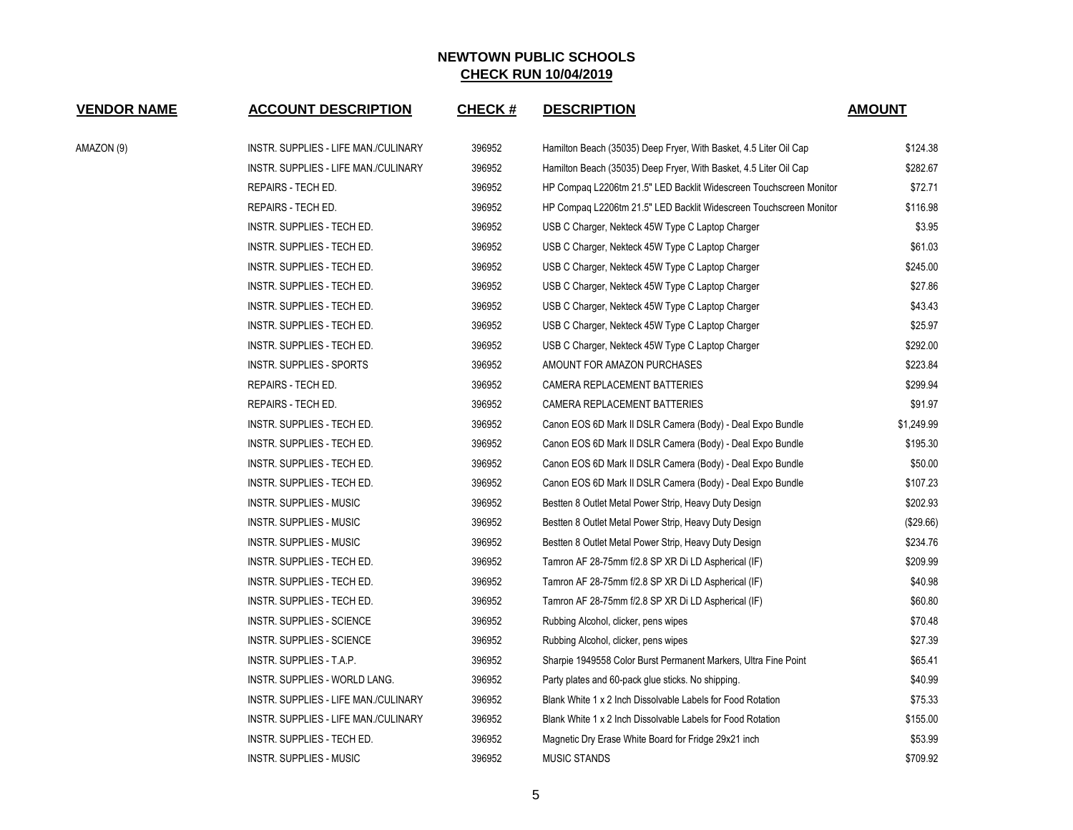| <b>VENDOR NAME</b> | <b>ACCOUNT DESCRIPTION</b>           | CHECK # | <b>DESCRIPTION</b>                                                 | <b>AMOUNT</b> |
|--------------------|--------------------------------------|---------|--------------------------------------------------------------------|---------------|
| AMAZON (9)         | INSTR. SUPPLIES - LIFE MAN./CULINARY | 396952  | Hamilton Beach (35035) Deep Fryer, With Basket, 4.5 Liter Oil Cap  | \$124.38      |
|                    | INSTR. SUPPLIES - LIFE MAN./CULINARY | 396952  | Hamilton Beach (35035) Deep Fryer, With Basket, 4.5 Liter Oil Cap  | \$282.67      |
|                    | REPAIRS - TECH ED.                   | 396952  | HP Compag L2206tm 21.5" LED Backlit Widescreen Touchscreen Monitor | \$72.71       |
|                    | REPAIRS - TECH ED.                   | 396952  | HP Compag L2206tm 21.5" LED Backlit Widescreen Touchscreen Monitor | \$116.98      |
|                    | INSTR. SUPPLIES - TECH ED.           | 396952  | USB C Charger, Nekteck 45W Type C Laptop Charger                   | \$3.95        |
|                    | INSTR. SUPPLIES - TECH ED.           | 396952  | USB C Charger, Nekteck 45W Type C Laptop Charger                   | \$61.03       |
|                    | INSTR. SUPPLIES - TECH ED.           | 396952  | USB C Charger, Nekteck 45W Type C Laptop Charger                   | \$245.00      |
|                    | INSTR. SUPPLIES - TECH ED.           | 396952  | USB C Charger, Nekteck 45W Type C Laptop Charger                   | \$27.86       |
|                    | INSTR. SUPPLIES - TECH ED.           | 396952  | USB C Charger, Nekteck 45W Type C Laptop Charger                   | \$43.43       |
|                    | INSTR. SUPPLIES - TECH ED.           | 396952  | USB C Charger, Nekteck 45W Type C Laptop Charger                   | \$25.97       |
|                    | INSTR. SUPPLIES - TECH ED.           | 396952  | USB C Charger, Nekteck 45W Type C Laptop Charger                   | \$292.00      |
|                    | <b>INSTR. SUPPLIES - SPORTS</b>      | 396952  | AMOUNT FOR AMAZON PURCHASES                                        | \$223.84      |
|                    | REPAIRS - TECH ED.                   | 396952  | CAMERA REPLACEMENT BATTERIES                                       | \$299.94      |
|                    | REPAIRS - TECH ED.                   | 396952  | CAMERA REPLACEMENT BATTERIES                                       | \$91.97       |
|                    | INSTR. SUPPLIES - TECH ED.           | 396952  | Canon EOS 6D Mark II DSLR Camera (Body) - Deal Expo Bundle         | \$1,249.99    |
|                    | INSTR. SUPPLIES - TECH ED.           | 396952  | Canon EOS 6D Mark II DSLR Camera (Body) - Deal Expo Bundle         | \$195.30      |
|                    | INSTR. SUPPLIES - TECH ED.           | 396952  | Canon EOS 6D Mark II DSLR Camera (Body) - Deal Expo Bundle         | \$50.00       |
|                    | INSTR. SUPPLIES - TECH ED.           | 396952  | Canon EOS 6D Mark II DSLR Camera (Body) - Deal Expo Bundle         | \$107.23      |
|                    | INSTR. SUPPLIES - MUSIC              | 396952  | Bestten 8 Outlet Metal Power Strip, Heavy Duty Design              | \$202.93      |
|                    | INSTR. SUPPLIES - MUSIC              | 396952  | Bestten 8 Outlet Metal Power Strip, Heavy Duty Design              | (\$29.66)     |
|                    | INSTR. SUPPLIES - MUSIC              | 396952  | Bestten 8 Outlet Metal Power Strip, Heavy Duty Design              | \$234.76      |
|                    | INSTR. SUPPLIES - TECH ED.           | 396952  | Tamron AF 28-75mm f/2.8 SP XR Di LD Aspherical (IF)                | \$209.99      |
|                    | INSTR. SUPPLIES - TECH ED.           | 396952  | Tamron AF 28-75mm f/2.8 SP XR Di LD Aspherical (IF)                | \$40.98       |
|                    | INSTR. SUPPLIES - TECH ED.           | 396952  | Tamron AF 28-75mm f/2.8 SP XR Di LD Aspherical (IF)                | \$60.80       |
|                    | INSTR. SUPPLIES - SCIENCE            | 396952  | Rubbing Alcohol, clicker, pens wipes                               | \$70.48       |
|                    | <b>INSTR. SUPPLIES - SCIENCE</b>     | 396952  | Rubbing Alcohol, clicker, pens wipes                               | \$27.39       |
|                    | INSTR. SUPPLIES - T.A.P.             | 396952  | Sharpie 1949558 Color Burst Permanent Markers, Ultra Fine Point    | \$65.41       |
|                    | INSTR. SUPPLIES - WORLD LANG.        | 396952  | Party plates and 60-pack glue sticks. No shipping.                 | \$40.99       |
|                    | INSTR. SUPPLIES - LIFE MAN./CULINARY | 396952  | Blank White 1 x 2 Inch Dissolvable Labels for Food Rotation        | \$75.33       |
|                    | INSTR. SUPPLIES - LIFE MAN./CULINARY | 396952  | Blank White 1 x 2 Inch Dissolvable Labels for Food Rotation        | \$155.00      |
|                    | INSTR. SUPPLIES - TECH ED.           | 396952  | Magnetic Dry Erase White Board for Fridge 29x21 inch               | \$53.99       |
|                    | <b>INSTR. SUPPLIES - MUSIC</b>       | 396952  | <b>MUSIC STANDS</b>                                                | \$709.92      |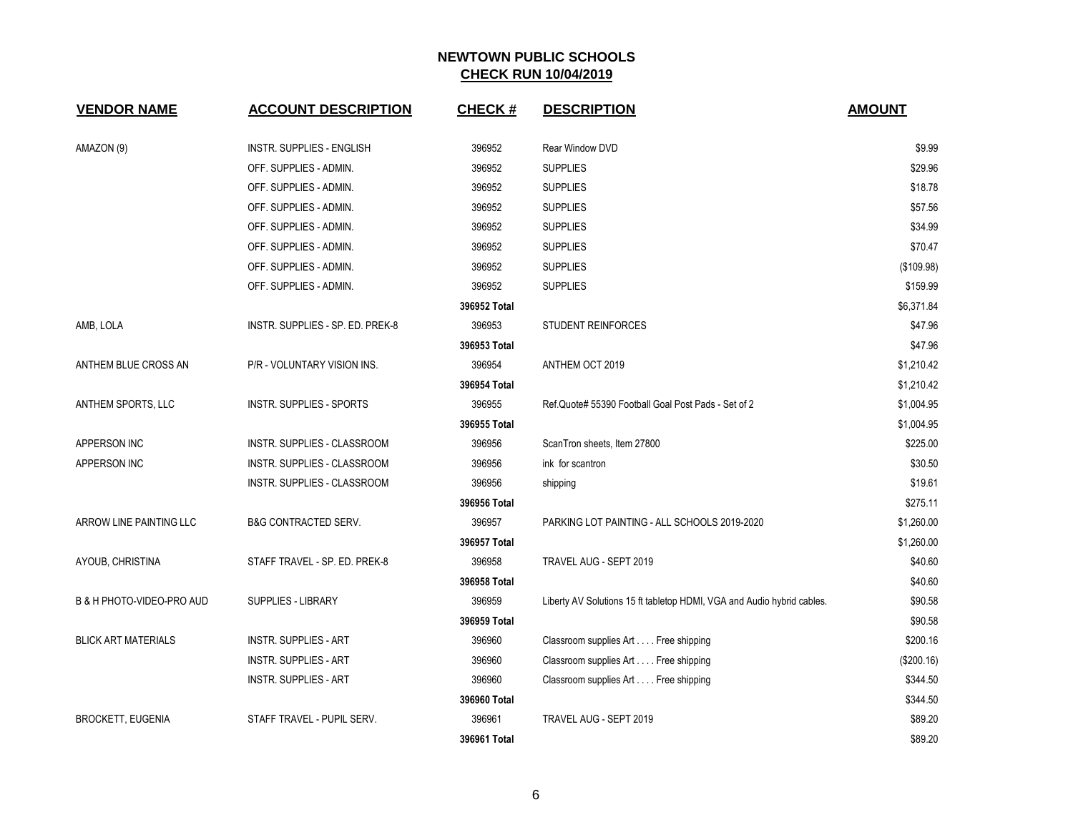| <b>VENDOR NAME</b>         | <b>ACCOUNT DESCRIPTION</b>       | <b>CHECK#</b> | <b>DESCRIPTION</b>                                                     | <b>AMOUNT</b> |
|----------------------------|----------------------------------|---------------|------------------------------------------------------------------------|---------------|
| AMAZON (9)                 | <b>INSTR. SUPPLIES - ENGLISH</b> | 396952        | <b>Rear Window DVD</b>                                                 | \$9.99        |
|                            | OFF. SUPPLIES - ADMIN.           | 396952        | <b>SUPPLIES</b>                                                        | \$29.96       |
|                            | OFF. SUPPLIES - ADMIN.           | 396952        | <b>SUPPLIES</b>                                                        | \$18.78       |
|                            | OFF. SUPPLIES - ADMIN.           | 396952        | <b>SUPPLIES</b>                                                        | \$57.56       |
|                            | OFF. SUPPLIES - ADMIN.           | 396952        | <b>SUPPLIES</b>                                                        | \$34.99       |
|                            | OFF. SUPPLIES - ADMIN.           | 396952        | <b>SUPPLIES</b>                                                        | \$70.47       |
|                            | OFF. SUPPLIES - ADMIN.           | 396952        | <b>SUPPLIES</b>                                                        | (\$109.98)    |
|                            | OFF. SUPPLIES - ADMIN.           | 396952        | <b>SUPPLIES</b>                                                        | \$159.99      |
|                            |                                  | 396952 Total  |                                                                        | \$6,371.84    |
| AMB, LOLA                  | INSTR. SUPPLIES - SP. ED. PREK-8 | 396953        | <b>STUDENT REINFORCES</b>                                              | \$47.96       |
|                            |                                  | 396953 Total  |                                                                        | \$47.96       |
| ANTHEM BLUE CROSS AN       | P/R - VOLUNTARY VISION INS.      | 396954        | ANTHEM OCT 2019                                                        | \$1,210.42    |
|                            |                                  | 396954 Total  |                                                                        | \$1,210.42    |
| ANTHEM SPORTS, LLC         | <b>INSTR. SUPPLIES - SPORTS</b>  | 396955        | Ref.Quote# 55390 Football Goal Post Pads - Set of 2                    | \$1,004.95    |
|                            |                                  | 396955 Total  |                                                                        | \$1,004.95    |
| APPERSON INC               | INSTR. SUPPLIES - CLASSROOM      | 396956        | ScanTron sheets, Item 27800                                            | \$225.00      |
| APPERSON INC               | INSTR. SUPPLIES - CLASSROOM      | 396956        | ink for scantron                                                       | \$30.50       |
|                            | INSTR. SUPPLIES - CLASSROOM      | 396956        | shipping                                                               | \$19.61       |
|                            |                                  | 396956 Total  |                                                                        | \$275.11      |
| ARROW LINE PAINTING LLC    | <b>B&amp;G CONTRACTED SERV.</b>  | 396957        | PARKING LOT PAINTING - ALL SCHOOLS 2019-2020                           | \$1,260.00    |
|                            |                                  | 396957 Total  |                                                                        | \$1,260.00    |
| AYOUB, CHRISTINA           | STAFF TRAVEL - SP. ED. PREK-8    | 396958        | TRAVEL AUG - SEPT 2019                                                 | \$40.60       |
|                            |                                  | 396958 Total  |                                                                        | \$40.60       |
| B & H PHOTO-VIDEO-PRO AUD  | <b>SUPPLIES - LIBRARY</b>        | 396959        | Liberty AV Solutions 15 ft tabletop HDMI, VGA and Audio hybrid cables. | \$90.58       |
|                            |                                  | 396959 Total  |                                                                        | \$90.58       |
| <b>BLICK ART MATERIALS</b> | <b>INSTR. SUPPLIES - ART</b>     | 396960        | Classroom supplies Art Free shipping                                   | \$200.16      |
|                            | <b>INSTR. SUPPLIES - ART</b>     | 396960        | Classroom supplies Art Free shipping                                   | (\$200.16)    |
|                            | <b>INSTR. SUPPLIES - ART</b>     | 396960        | Classroom supplies Art Free shipping                                   | \$344.50      |
|                            |                                  | 396960 Total  |                                                                        | \$344.50      |
| <b>BROCKETT, EUGENIA</b>   | STAFF TRAVEL - PUPIL SERV.       | 396961        | TRAVEL AUG - SEPT 2019                                                 | \$89.20       |
|                            |                                  | 396961 Total  |                                                                        | \$89.20       |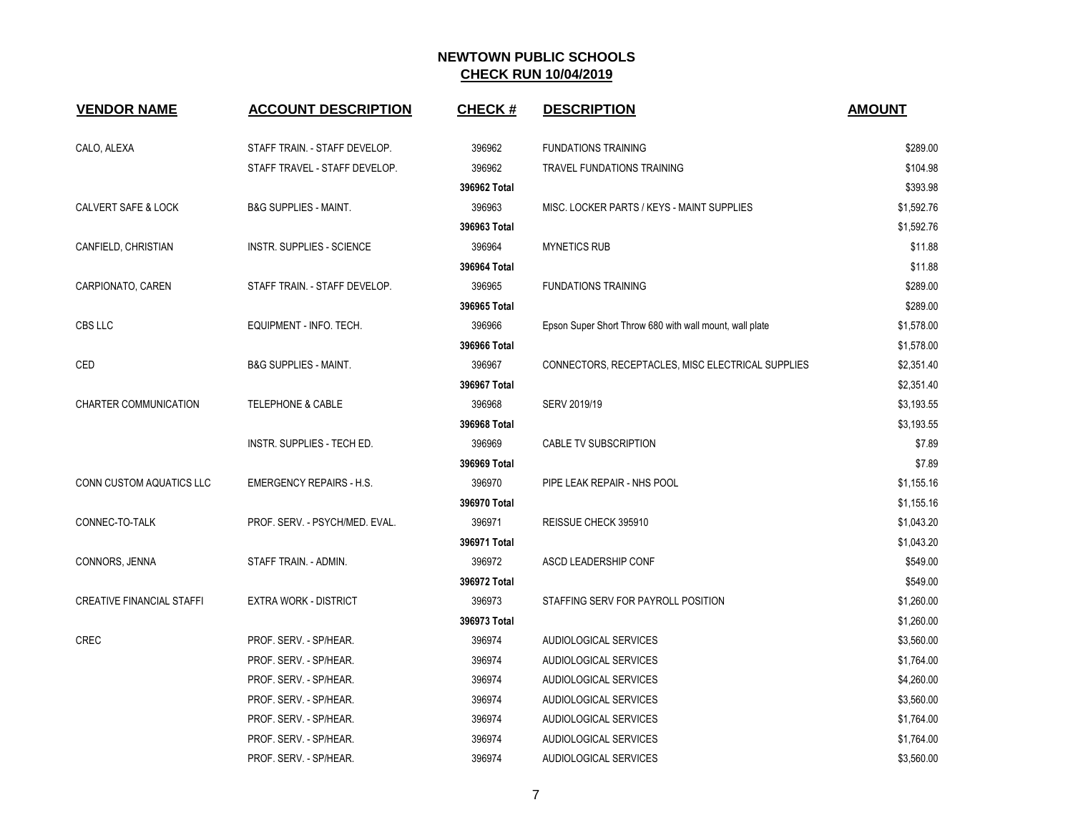| <b>VENDOR NAME</b>               | <b>ACCOUNT DESCRIPTION</b>       | <b>CHECK#</b> | <b>DESCRIPTION</b>                                      | <b>AMOUNT</b> |
|----------------------------------|----------------------------------|---------------|---------------------------------------------------------|---------------|
| CALO, ALEXA                      | STAFF TRAIN. - STAFF DEVELOP.    | 396962        | <b>FUNDATIONS TRAINING</b>                              | \$289.00      |
|                                  | STAFF TRAVEL - STAFF DEVELOP.    | 396962        | <b>TRAVEL FUNDATIONS TRAINING</b>                       | \$104.98      |
|                                  |                                  | 396962 Total  |                                                         | \$393.98      |
| <b>CALVERT SAFE &amp; LOCK</b>   | <b>B&amp;G SUPPLIES - MAINT.</b> | 396963        | MISC. LOCKER PARTS / KEYS - MAINT SUPPLIES              | \$1,592.76    |
|                                  |                                  | 396963 Total  |                                                         | \$1,592.76    |
| CANFIELD, CHRISTIAN              | INSTR. SUPPLIES - SCIENCE        | 396964        | <b>MYNETICS RUB</b>                                     | \$11.88       |
|                                  |                                  | 396964 Total  |                                                         | \$11.88       |
| CARPIONATO, CAREN                | STAFF TRAIN. - STAFF DEVELOP.    | 396965        | <b>FUNDATIONS TRAINING</b>                              | \$289.00      |
|                                  |                                  | 396965 Total  |                                                         | \$289.00      |
| CBS LLC                          | EQUIPMENT - INFO. TECH.          | 396966        | Epson Super Short Throw 680 with wall mount, wall plate | \$1,578.00    |
|                                  |                                  | 396966 Total  |                                                         | \$1,578.00    |
| CED                              | B&G SUPPLIES - MAINT.            | 396967        | CONNECTORS, RECEPTACLES, MISC ELECTRICAL SUPPLIES       | \$2,351.40    |
|                                  |                                  | 396967 Total  |                                                         | \$2,351.40    |
| <b>CHARTER COMMUNICATION</b>     | <b>TELEPHONE &amp; CABLE</b>     | 396968        | SERV 2019/19                                            | \$3,193.55    |
|                                  |                                  | 396968 Total  |                                                         | \$3,193.55    |
|                                  | INSTR. SUPPLIES - TECH ED.       | 396969        | CABLE TV SUBSCRIPTION                                   | \$7.89        |
|                                  |                                  | 396969 Total  |                                                         | \$7.89        |
| <b>CONN CUSTOM AQUATICS LLC</b>  | EMERGENCY REPAIRS - H.S.         | 396970        | PIPE LEAK REPAIR - NHS POOL                             | \$1,155.16    |
|                                  |                                  | 396970 Total  |                                                         | \$1,155.16    |
| CONNEC-TO-TALK                   | PROF. SERV. - PSYCH/MED. EVAL.   | 396971        | REISSUE CHECK 395910                                    | \$1,043.20    |
|                                  |                                  | 396971 Total  |                                                         | \$1,043.20    |
| CONNORS, JENNA                   | STAFF TRAIN. - ADMIN.            | 396972        | ASCD LEADERSHIP CONF                                    | \$549.00      |
|                                  |                                  | 396972 Total  |                                                         | \$549.00      |
| <b>CREATIVE FINANCIAL STAFFI</b> | <b>EXTRA WORK - DISTRICT</b>     | 396973        | STAFFING SERV FOR PAYROLL POSITION                      | \$1,260.00    |
|                                  |                                  | 396973 Total  |                                                         | \$1,260.00    |
| <b>CREC</b>                      | PROF. SERV. - SP/HEAR.           | 396974        | AUDIOLOGICAL SERVICES                                   | \$3,560.00    |
|                                  | PROF. SERV. - SP/HEAR.           | 396974        | AUDIOLOGICAL SERVICES                                   | \$1,764.00    |
|                                  | PROF. SERV. - SP/HEAR.           | 396974        | AUDIOLOGICAL SERVICES                                   | \$4,260.00    |
|                                  | PROF. SERV. - SP/HEAR.           | 396974        | AUDIOLOGICAL SERVICES                                   | \$3,560.00    |
|                                  | PROF. SERV. - SP/HEAR.           | 396974        | AUDIOLOGICAL SERVICES                                   | \$1,764.00    |
|                                  | PROF. SERV. - SP/HEAR.           | 396974        | AUDIOLOGICAL SERVICES                                   | \$1,764.00    |
|                                  | PROF. SERV. - SP/HEAR.           | 396974        | AUDIOLOGICAL SERVICES                                   | \$3,560.00    |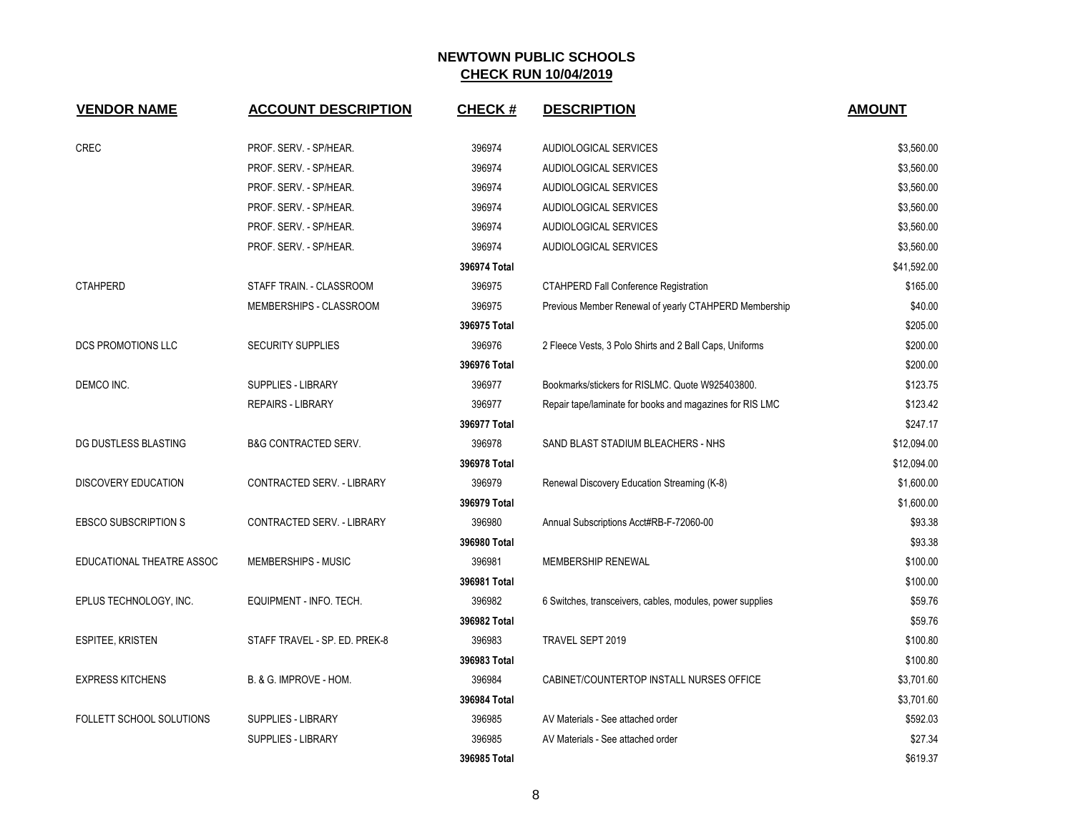| <b>VENDOR NAME</b>          | <b>ACCOUNT DESCRIPTION</b>      | <b>CHECK#</b> | <b>DESCRIPTION</b>                                        | <b>AMOUNT</b> |
|-----------------------------|---------------------------------|---------------|-----------------------------------------------------------|---------------|
| <b>CREC</b>                 | PROF. SERV. - SP/HEAR.          | 396974        | AUDIOLOGICAL SERVICES                                     | \$3,560.00    |
|                             | PROF. SERV. - SP/HEAR.          | 396974        | AUDIOLOGICAL SERVICES                                     | \$3,560.00    |
|                             | PROF. SERV. - SP/HEAR.          | 396974        | AUDIOLOGICAL SERVICES                                     | \$3,560.00    |
|                             | PROF. SERV. - SP/HEAR.          | 396974        | AUDIOLOGICAL SERVICES                                     | \$3,560.00    |
|                             | PROF. SERV. - SP/HEAR.          | 396974        | AUDIOLOGICAL SERVICES                                     | \$3,560.00    |
|                             | PROF. SERV. - SP/HEAR.          | 396974        | AUDIOLOGICAL SERVICES                                     | \$3,560.00    |
|                             |                                 | 396974 Total  |                                                           | \$41,592.00   |
| <b>CTAHPERD</b>             | STAFF TRAIN. - CLASSROOM        | 396975        | <b>CTAHPERD Fall Conference Registration</b>              | \$165.00      |
|                             | MEMBERSHIPS - CLASSROOM         | 396975        | Previous Member Renewal of yearly CTAHPERD Membership     | \$40.00       |
|                             |                                 | 396975 Total  |                                                           | \$205.00      |
| <b>DCS PROMOTIONS LLC</b>   | <b>SECURITY SUPPLIES</b>        | 396976        | 2 Fleece Vests, 3 Polo Shirts and 2 Ball Caps, Uniforms   | \$200.00      |
|                             |                                 | 396976 Total  |                                                           | \$200.00      |
| DEMCO INC.                  | SUPPLIES - LIBRARY              | 396977        | Bookmarks/stickers for RISLMC, Quote W925403800.          | \$123.75      |
|                             | <b>REPAIRS - LIBRARY</b>        | 396977        | Repair tape/laminate for books and magazines for RIS LMC  | \$123.42      |
|                             |                                 | 396977 Total  |                                                           | \$247.17      |
| DG DUSTLESS BLASTING        | <b>B&amp;G CONTRACTED SERV.</b> | 396978        | SAND BLAST STADIUM BLEACHERS - NHS                        | \$12,094.00   |
|                             |                                 | 396978 Total  |                                                           | \$12,094.00   |
| DISCOVERY EDUCATION         | CONTRACTED SERV. - LIBRARY      | 396979        | Renewal Discovery Education Streaming (K-8)               | \$1,600.00    |
|                             |                                 | 396979 Total  |                                                           | \$1,600.00    |
| <b>EBSCO SUBSCRIPTION S</b> | CONTRACTED SERV. - LIBRARY      | 396980        | Annual Subscriptions Acct#RB-F-72060-00                   | \$93.38       |
|                             |                                 | 396980 Total  |                                                           | \$93.38       |
| EDUCATIONAL THEATRE ASSOC   | MEMBERSHIPS - MUSIC             | 396981        | MEMBERSHIP RENEWAL                                        | \$100.00      |
|                             |                                 | 396981 Total  |                                                           | \$100.00      |
| EPLUS TECHNOLOGY, INC.      | EQUIPMENT - INFO. TECH.         | 396982        | 6 Switches, transceivers, cables, modules, power supplies | \$59.76       |
|                             |                                 | 396982 Total  |                                                           | \$59.76       |
| <b>ESPITEE, KRISTEN</b>     | STAFF TRAVEL - SP. ED. PREK-8   | 396983        | TRAVEL SEPT 2019                                          | \$100.80      |
|                             |                                 | 396983 Total  |                                                           | \$100.80      |
| <b>EXPRESS KITCHENS</b>     | B. & G. IMPROVE - HOM.          | 396984        | CABINET/COUNTERTOP INSTALL NURSES OFFICE                  | \$3,701.60    |
|                             |                                 | 396984 Total  |                                                           | \$3,701.60    |
| FOLLETT SCHOOL SOLUTIONS    | SUPPLIES - LIBRARY              | 396985        | AV Materials - See attached order                         | \$592.03      |
|                             | <b>SUPPLIES - LIBRARY</b>       | 396985        | AV Materials - See attached order                         | \$27.34       |
|                             |                                 | 396985 Total  |                                                           | \$619.37      |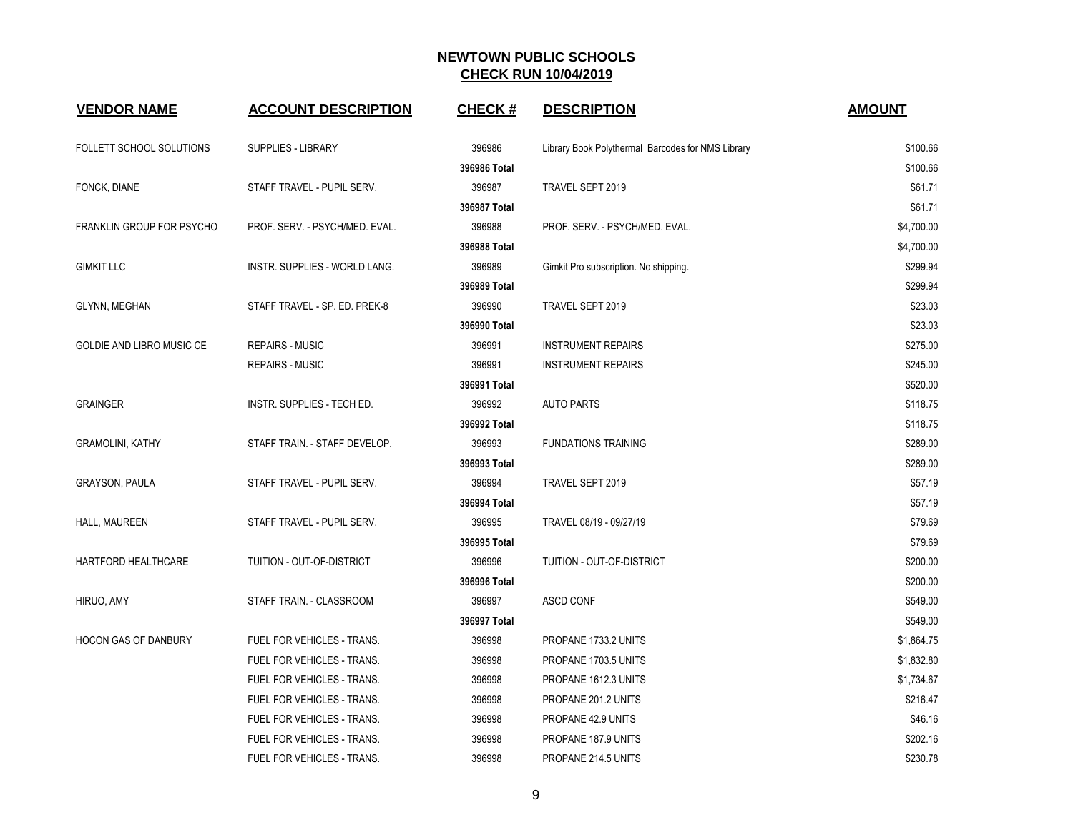| <b>VENDOR NAME</b>               | <b>ACCOUNT DESCRIPTION</b>        | <b>CHECK#</b> | <b>DESCRIPTION</b>                                | <b>AMOUNT</b> |
|----------------------------------|-----------------------------------|---------------|---------------------------------------------------|---------------|
| <b>FOLLETT SCHOOL SOLUTIONS</b>  | <b>SUPPLIES - LIBRARY</b>         | 396986        | Library Book Polythermal Barcodes for NMS Library | \$100.66      |
|                                  |                                   | 396986 Total  |                                                   | \$100.66      |
| FONCK, DIANE                     | STAFF TRAVEL - PUPIL SERV.        | 396987        | TRAVEL SEPT 2019                                  | \$61.71       |
|                                  |                                   | 396987 Total  |                                                   | \$61.71       |
| <b>FRANKLIN GROUP FOR PSYCHO</b> | PROF. SERV. - PSYCH/MED. EVAL.    | 396988        | PROF. SERV. - PSYCH/MED. EVAL.                    | \$4,700.00    |
|                                  |                                   | 396988 Total  |                                                   | \$4,700.00    |
| <b>GIMKIT LLC</b>                | INSTR. SUPPLIES - WORLD LANG.     | 396989        | Gimkit Pro subscription. No shipping.             | \$299.94      |
|                                  |                                   | 396989 Total  |                                                   | \$299.94      |
| GLYNN, MEGHAN                    | STAFF TRAVEL - SP. ED. PREK-8     | 396990        | TRAVEL SEPT 2019                                  | \$23.03       |
|                                  |                                   | 396990 Total  |                                                   | \$23.03       |
| GOLDIE AND LIBRO MUSIC CE        | <b>REPAIRS - MUSIC</b>            | 396991        | <b>INSTRUMENT REPAIRS</b>                         | \$275.00      |
|                                  | <b>REPAIRS - MUSIC</b>            | 396991        | <b>INSTRUMENT REPAIRS</b>                         | \$245.00      |
|                                  |                                   | 396991 Total  |                                                   | \$520.00      |
| <b>GRAINGER</b>                  | INSTR. SUPPLIES - TECH ED.        | 396992        | <b>AUTO PARTS</b>                                 | \$118.75      |
|                                  |                                   | 396992 Total  |                                                   | \$118.75      |
| <b>GRAMOLINI, KATHY</b>          | STAFF TRAIN. - STAFF DEVELOP.     | 396993        | <b>FUNDATIONS TRAINING</b>                        | \$289.00      |
|                                  |                                   | 396993 Total  |                                                   | \$289.00      |
| <b>GRAYSON, PAULA</b>            | STAFF TRAVEL - PUPIL SERV.        | 396994        | TRAVEL SEPT 2019                                  | \$57.19       |
|                                  |                                   | 396994 Total  |                                                   | \$57.19       |
| HALL, MAUREEN                    | STAFF TRAVEL - PUPIL SERV.        | 396995        | TRAVEL 08/19 - 09/27/19                           | \$79.69       |
|                                  |                                   | 396995 Total  |                                                   | \$79.69       |
| HARTFORD HEALTHCARE              | TUITION - OUT-OF-DISTRICT         | 396996        | TUITION - OUT-OF-DISTRICT                         | \$200.00      |
|                                  |                                   | 396996 Total  |                                                   | \$200.00      |
| HIRUO, AMY                       | STAFF TRAIN. - CLASSROOM          | 396997        | <b>ASCD CONF</b>                                  | \$549.00      |
|                                  |                                   | 396997 Total  |                                                   | \$549.00      |
| <b>HOCON GAS OF DANBURY</b>      | FUEL FOR VEHICLES - TRANS.        | 396998        | PROPANE 1733.2 UNITS                              | \$1,864.75    |
|                                  | <b>FUEL FOR VEHICLES - TRANS.</b> | 396998        | PROPANE 1703.5 UNITS                              | \$1,832.80    |
|                                  | FUEL FOR VEHICLES - TRANS.        | 396998        | PROPANE 1612.3 UNITS                              | \$1,734.67    |
|                                  | FUEL FOR VEHICLES - TRANS.        | 396998        | PROPANE 201.2 UNITS                               | \$216.47      |
|                                  | <b>FUEL FOR VEHICLES - TRANS.</b> | 396998        | PROPANE 42.9 UNITS                                | \$46.16       |
|                                  | FUEL FOR VEHICLES - TRANS.        | 396998        | PROPANE 187.9 UNITS                               | \$202.16      |
|                                  | <b>FUEL FOR VEHICLES - TRANS.</b> | 396998        | PROPANE 214.5 UNITS                               | \$230.78      |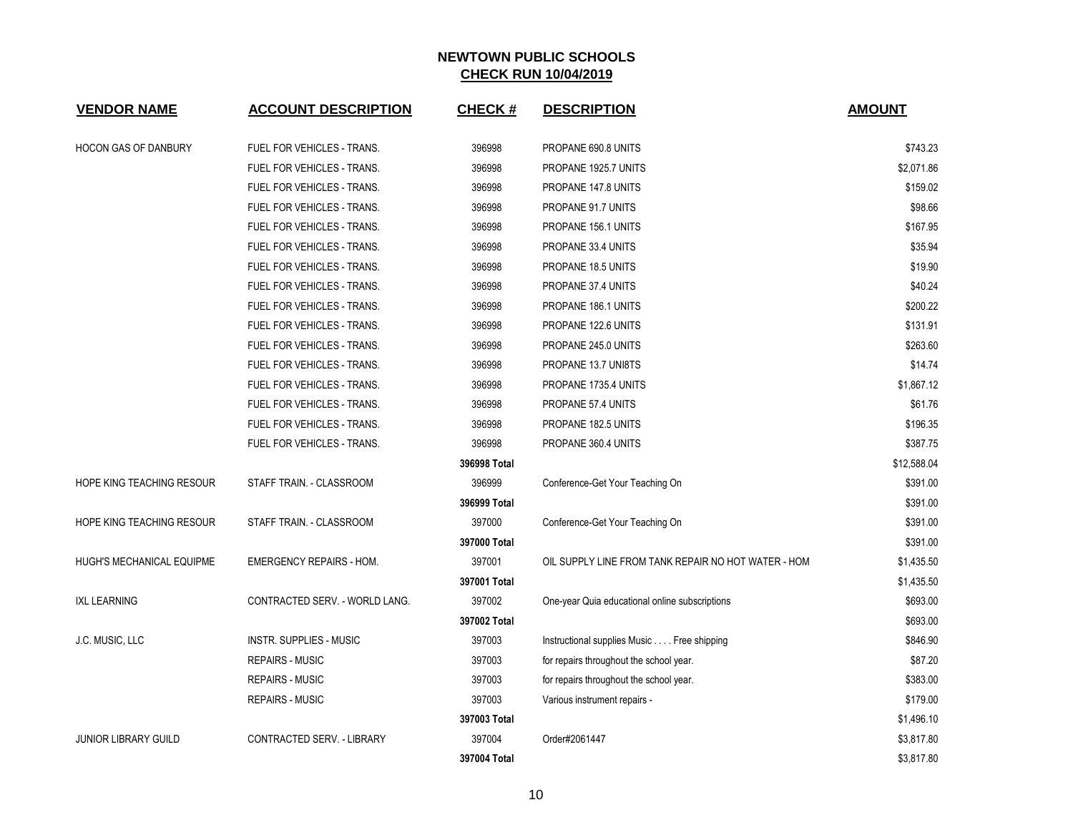| <b>VENDOR NAME</b>          | <b>ACCOUNT DESCRIPTION</b>        | <b>CHECK#</b> | <b>DESCRIPTION</b>                                  | <b>AMOUNT</b> |
|-----------------------------|-----------------------------------|---------------|-----------------------------------------------------|---------------|
| <b>HOCON GAS OF DANBURY</b> | FUEL FOR VEHICLES - TRANS.        | 396998        | PROPANE 690.8 UNITS                                 | \$743.23      |
|                             | FUEL FOR VEHICLES - TRANS.        | 396998        | PROPANE 1925.7 UNITS                                | \$2,071.86    |
|                             | FUEL FOR VEHICLES - TRANS.        | 396998        | PROPANE 147.8 UNITS                                 | \$159.02      |
|                             | FUEL FOR VEHICLES - TRANS.        | 396998        | PROPANE 91.7 UNITS                                  | \$98.66       |
|                             | FUEL FOR VEHICLES - TRANS.        | 396998        | PROPANE 156.1 UNITS                                 | \$167.95      |
|                             | FUEL FOR VEHICLES - TRANS.        | 396998        | PROPANE 33.4 UNITS                                  | \$35.94       |
|                             | FUEL FOR VEHICLES - TRANS.        | 396998        | PROPANE 18.5 UNITS                                  | \$19.90       |
|                             | FUEL FOR VEHICLES - TRANS.        | 396998        | PROPANE 37.4 UNITS                                  | \$40.24       |
|                             | FUEL FOR VEHICLES - TRANS.        | 396998        | PROPANE 186.1 UNITS                                 | \$200.22      |
|                             | FUEL FOR VEHICLES - TRANS.        | 396998        | PROPANE 122.6 UNITS                                 | \$131.91      |
|                             | FUEL FOR VEHICLES - TRANS.        | 396998        | PROPANE 245.0 UNITS                                 | \$263.60      |
|                             | FUEL FOR VEHICLES - TRANS.        | 396998        | PROPANE 13.7 UNI8TS                                 | \$14.74       |
|                             | FUEL FOR VEHICLES - TRANS.        | 396998        | PROPANE 1735.4 UNITS                                | \$1,867.12    |
|                             | FUEL FOR VEHICLES - TRANS.        | 396998        | PROPANE 57.4 UNITS                                  | \$61.76       |
|                             | FUEL FOR VEHICLES - TRANS.        | 396998        | PROPANE 182.5 UNITS                                 | \$196.35      |
|                             | <b>FUEL FOR VEHICLES - TRANS.</b> | 396998        | PROPANE 360.4 UNITS                                 | \$387.75      |
|                             |                                   | 396998 Total  |                                                     | \$12,588.04   |
| HOPE KING TEACHING RESOUR   | STAFF TRAIN. - CLASSROOM          | 396999        | Conference-Get Your Teaching On                     | \$391.00      |
|                             |                                   | 396999 Total  |                                                     | \$391.00      |
| HOPE KING TEACHING RESOUR   | STAFF TRAIN. - CLASSROOM          | 397000        | Conference-Get Your Teaching On                     | \$391.00      |
|                             |                                   | 397000 Total  |                                                     | \$391.00      |
| HUGH'S MECHANICAL EQUIPME   | <b>EMERGENCY REPAIRS - HOM.</b>   | 397001        | OIL SUPPLY LINE FROM TANK REPAIR NO HOT WATER - HOM | \$1,435.50    |
|                             |                                   | 397001 Total  |                                                     | \$1,435.50    |
| <b>IXL LEARNING</b>         | CONTRACTED SERV. - WORLD LANG.    | 397002        | One-year Quia educational online subscriptions      | \$693.00      |
|                             |                                   | 397002 Total  |                                                     | \$693.00      |
| J.C. MUSIC, LLC             | <b>INSTR. SUPPLIES - MUSIC</b>    | 397003        | Instructional supplies Music Free shipping          | \$846.90      |
|                             | <b>REPAIRS - MUSIC</b>            | 397003        | for repairs throughout the school year.             | \$87.20       |
|                             | <b>REPAIRS - MUSIC</b>            | 397003        | for repairs throughout the school year.             | \$383.00      |
|                             | <b>REPAIRS - MUSIC</b>            | 397003        | Various instrument repairs -                        | \$179.00      |
|                             |                                   | 397003 Total  |                                                     | \$1,496.10    |
| <b>JUNIOR LIBRARY GUILD</b> | CONTRACTED SERV. - LIBRARY        | 397004        | Order#2061447                                       | \$3,817.80    |
|                             |                                   | 397004 Total  |                                                     | \$3,817.80    |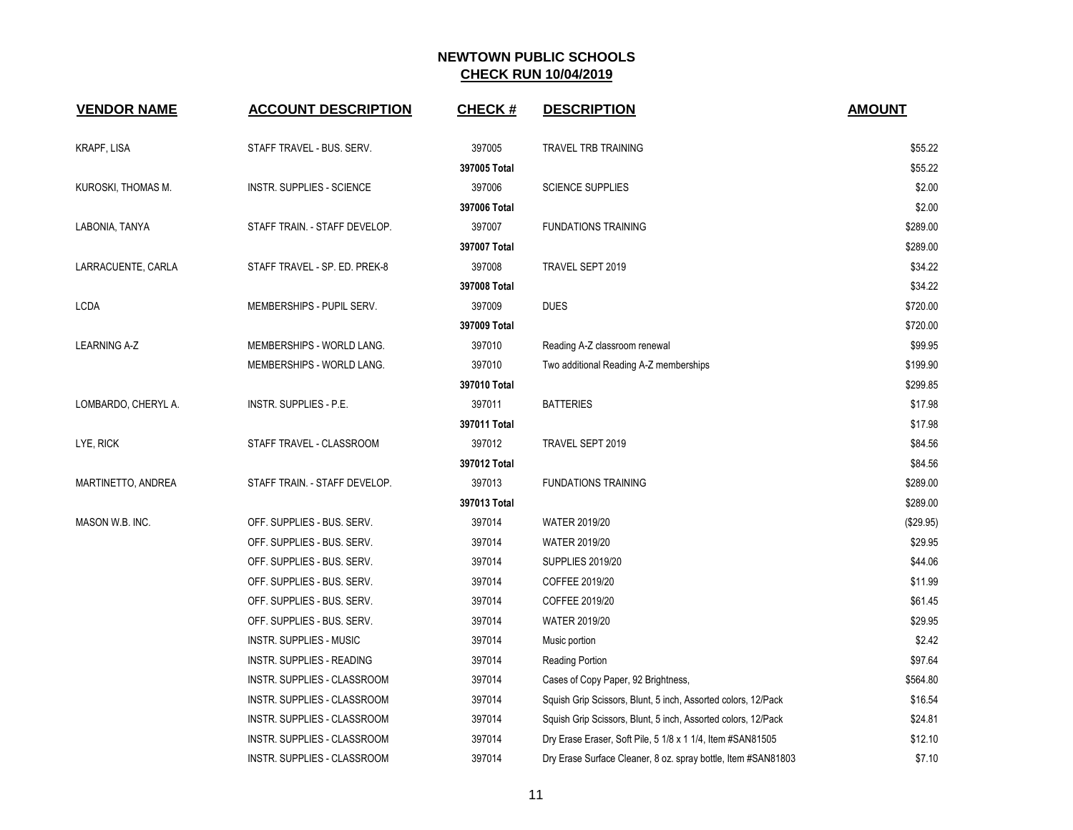| <b>VENDOR NAME</b>  | <b>ACCOUNT DESCRIPTION</b>     | <b>CHECK#</b>          | <b>DESCRIPTION</b>                                            | <b>AMOUNT</b>      |
|---------------------|--------------------------------|------------------------|---------------------------------------------------------------|--------------------|
|                     |                                |                        |                                                               |                    |
| <b>KRAPF, LISA</b>  | STAFF TRAVEL - BUS. SERV.      | 397005                 | <b>TRAVEL TRB TRAINING</b>                                    | \$55.22            |
|                     |                                | 397005 Total           |                                                               | \$55.22            |
| KUROSKI, THOMAS M.  | INSTR. SUPPLIES - SCIENCE      | 397006                 | SCIENCE SUPPLIES                                              | \$2.00             |
|                     | STAFF TRAIN. - STAFF DEVELOP.  | 397006 Total<br>397007 |                                                               | \$2.00<br>\$289.00 |
| LABONIA, TANYA      |                                | 397007 Total           | <b>FUNDATIONS TRAINING</b>                                    | \$289.00           |
| LARRACUENTE, CARLA  | STAFF TRAVEL - SP. ED. PREK-8  | 397008                 | TRAVEL SEPT 2019                                              | \$34.22            |
|                     |                                | 397008 Total           |                                                               | \$34.22            |
| <b>LCDA</b>         | MEMBERSHIPS - PUPIL SERV.      | 397009                 | <b>DUES</b>                                                   | \$720.00           |
|                     |                                | 397009 Total           |                                                               | \$720.00           |
| <b>LEARNING A-Z</b> | MEMBERSHIPS - WORLD LANG.      | 397010                 | Reading A-Z classroom renewal                                 | \$99.95            |
|                     | MEMBERSHIPS - WORLD LANG.      | 397010                 | Two additional Reading A-Z memberships                        | \$199.90           |
|                     |                                | 397010 Total           |                                                               | \$299.85           |
| LOMBARDO, CHERYL A. | INSTR. SUPPLIES - P.E.         | 397011                 | <b>BATTERIES</b>                                              | \$17.98            |
|                     |                                | 397011 Total           |                                                               | \$17.98            |
| LYE, RICK           | STAFF TRAVEL - CLASSROOM       | 397012                 | TRAVEL SEPT 2019                                              | \$84.56            |
|                     |                                | 397012 Total           |                                                               | \$84.56            |
| MARTINETTO, ANDREA  | STAFF TRAIN. - STAFF DEVELOP.  | 397013                 | <b>FUNDATIONS TRAINING</b>                                    | \$289.00           |
|                     |                                | 397013 Total           |                                                               | \$289.00           |
| MASON W.B. INC.     | OFF. SUPPLIES - BUS. SERV.     | 397014                 | <b>WATER 2019/20</b>                                          | (\$29.95)          |
|                     | OFF. SUPPLIES - BUS. SERV.     | 397014                 | <b>WATER 2019/20</b>                                          | \$29.95            |
|                     | OFF. SUPPLIES - BUS. SERV.     | 397014                 | <b>SUPPLIES 2019/20</b>                                       | \$44.06            |
|                     | OFF. SUPPLIES - BUS. SERV.     | 397014                 | COFFEE 2019/20                                                | \$11.99            |
|                     | OFF. SUPPLIES - BUS. SERV.     | 397014                 | COFFEE 2019/20                                                | \$61.45            |
|                     | OFF. SUPPLIES - BUS. SERV.     | 397014                 | <b>WATER 2019/20</b>                                          | \$29.95            |
|                     | <b>INSTR. SUPPLIES - MUSIC</b> | 397014                 | Music portion                                                 | \$2.42             |
|                     | INSTR. SUPPLIES - READING      | 397014                 | Reading Portion                                               | \$97.64            |
|                     | INSTR. SUPPLIES - CLASSROOM    | 397014                 | Cases of Copy Paper, 92 Brightness,                           | \$564.80           |
|                     | INSTR. SUPPLIES - CLASSROOM    | 397014                 | Squish Grip Scissors, Blunt, 5 inch, Assorted colors, 12/Pack | \$16.54            |
|                     | INSTR. SUPPLIES - CLASSROOM    | 397014                 | Squish Grip Scissors, Blunt, 5 inch, Assorted colors, 12/Pack | \$24.81            |
|                     | INSTR. SUPPLIES - CLASSROOM    | 397014                 | Dry Erase Eraser, Soft Pile, 5 1/8 x 1 1/4, Item #SAN81505    | \$12.10            |
|                     | INSTR. SUPPLIES - CLASSROOM    | 397014                 | Dry Erase Surface Cleaner, 8 oz. spray bottle, Item #SAN81803 | \$7.10             |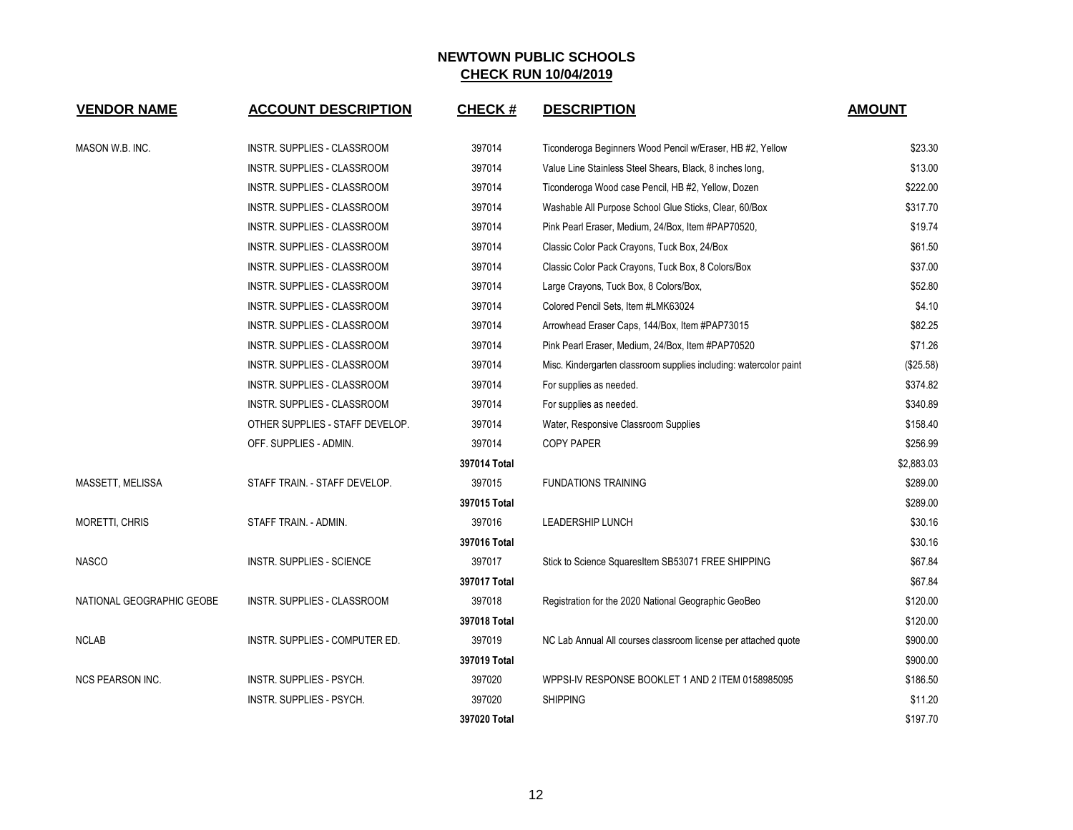| <b>VENDOR NAME</b>        | <b>ACCOUNT DESCRIPTION</b>         | <b>CHECK#</b> | <b>DESCRIPTION</b>                                                | <b>AMOUNT</b> |
|---------------------------|------------------------------------|---------------|-------------------------------------------------------------------|---------------|
| MASON W.B. INC.           | INSTR. SUPPLIES - CLASSROOM        | 397014        | Ticonderoga Beginners Wood Pencil w/Eraser, HB #2, Yellow         | \$23.30       |
|                           | INSTR. SUPPLIES - CLASSROOM        | 397014        | Value Line Stainless Steel Shears, Black, 8 inches long,          | \$13.00       |
|                           | INSTR. SUPPLIES - CLASSROOM        | 397014        | Ticonderoga Wood case Pencil, HB #2, Yellow, Dozen                | \$222.00      |
|                           | INSTR. SUPPLIES - CLASSROOM        | 397014        | Washable All Purpose School Glue Sticks, Clear, 60/Box            | \$317.70      |
|                           | INSTR. SUPPLIES - CLASSROOM        | 397014        | Pink Pearl Eraser, Medium, 24/Box, Item #PAP70520,                | \$19.74       |
|                           | INSTR. SUPPLIES - CLASSROOM        | 397014        | Classic Color Pack Crayons, Tuck Box, 24/Box                      | \$61.50       |
|                           | INSTR. SUPPLIES - CLASSROOM        | 397014        | Classic Color Pack Crayons, Tuck Box, 8 Colors/Box                | \$37.00       |
|                           | INSTR. SUPPLIES - CLASSROOM        | 397014        | Large Crayons, Tuck Box, 8 Colors/Box,                            | \$52.80       |
|                           | <b>INSTR. SUPPLIES - CLASSROOM</b> | 397014        | Colored Pencil Sets. Item #LMK63024                               | \$4.10        |
|                           | INSTR. SUPPLIES - CLASSROOM        | 397014        | Arrowhead Eraser Caps, 144/Box, Item #PAP73015                    | \$82.25       |
|                           | INSTR. SUPPLIES - CLASSROOM        | 397014        | Pink Pearl Eraser, Medium, 24/Box, Item #PAP70520                 | \$71.26       |
|                           | INSTR. SUPPLIES - CLASSROOM        | 397014        | Misc. Kindergarten classroom supplies including: watercolor paint | (\$25.58)     |
|                           | INSTR. SUPPLIES - CLASSROOM        | 397014        | For supplies as needed.                                           | \$374.82      |
|                           | INSTR. SUPPLIES - CLASSROOM        | 397014        | For supplies as needed.                                           | \$340.89      |
|                           | OTHER SUPPLIES - STAFF DEVELOP.    | 397014        | Water, Responsive Classroom Supplies                              | \$158.40      |
|                           | OFF. SUPPLIES - ADMIN.             | 397014        | <b>COPY PAPER</b>                                                 | \$256.99      |
|                           |                                    | 397014 Total  |                                                                   | \$2,883.03    |
| MASSETT, MELISSA          | STAFF TRAIN. - STAFF DEVELOP.      | 397015        | <b>FUNDATIONS TRAINING</b>                                        | \$289.00      |
|                           |                                    | 397015 Total  |                                                                   | \$289.00      |
| <b>MORETTI, CHRIS</b>     | STAFF TRAIN. - ADMIN.              | 397016        | <b>LEADERSHIP LUNCH</b>                                           | \$30.16       |
|                           |                                    | 397016 Total  |                                                                   | \$30.16       |
| <b>NASCO</b>              | <b>INSTR. SUPPLIES - SCIENCE</b>   | 397017        | Stick to Science SquaresItem SB53071 FREE SHIPPING                | \$67.84       |
|                           |                                    | 397017 Total  |                                                                   | \$67.84       |
| NATIONAL GEOGRAPHIC GEOBE | INSTR. SUPPLIES - CLASSROOM        | 397018        | Registration for the 2020 National Geographic GeoBeo              | \$120.00      |
|                           |                                    | 397018 Total  |                                                                   | \$120.00      |
| <b>NCLAB</b>              | INSTR. SUPPLIES - COMPUTER ED.     | 397019        | NC Lab Annual All courses classroom license per attached quote    | \$900.00      |
|                           |                                    | 397019 Total  |                                                                   | \$900.00      |
| <b>NCS PEARSON INC.</b>   | INSTR. SUPPLIES - PSYCH.           | 397020        | WPPSI-IV RESPONSE BOOKLET 1 AND 2 ITEM 0158985095                 | \$186.50      |
|                           | INSTR. SUPPLIES - PSYCH.           | 397020        | <b>SHIPPING</b>                                                   | \$11.20       |
|                           |                                    | 397020 Total  |                                                                   | \$197.70      |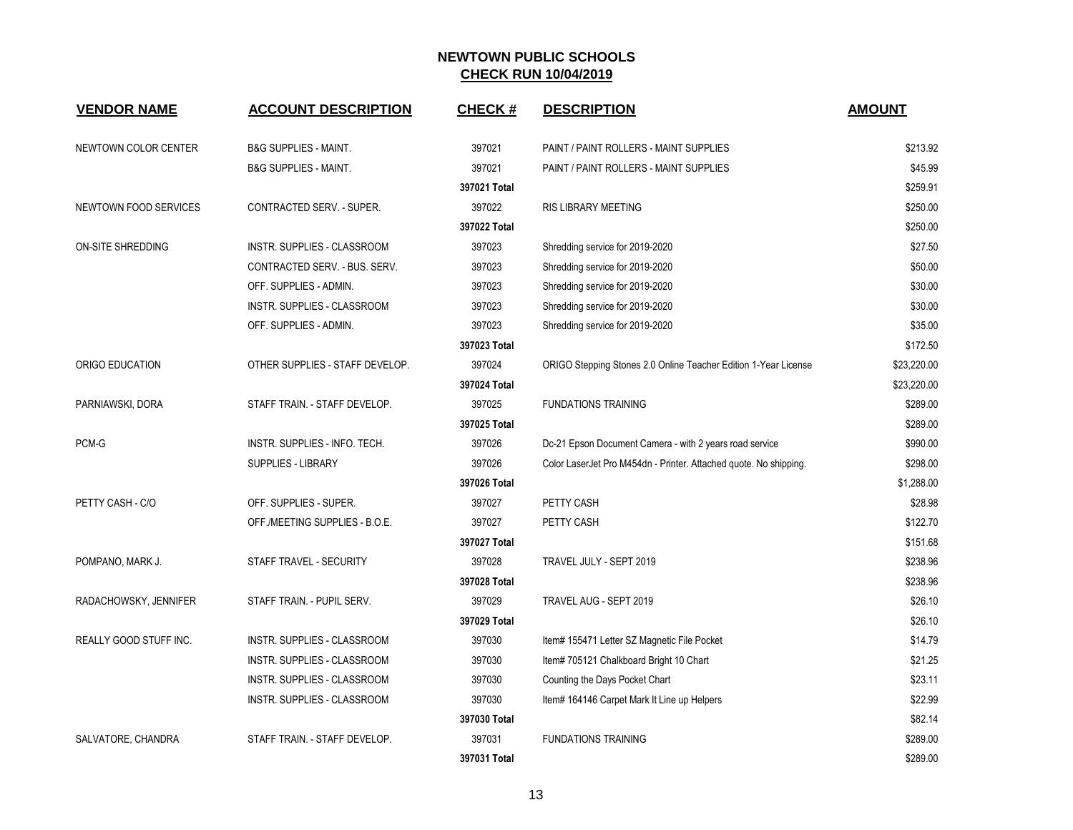| <b>VENDOR NAME</b>     | <b>ACCOUNT DESCRIPTION</b>       | <b>CHECK#</b> | <b>DESCRIPTION</b>                                                | <b>AMOUNT</b> |
|------------------------|----------------------------------|---------------|-------------------------------------------------------------------|---------------|
| NEWTOWN COLOR CENTER   | B&G SUPPLIES - MAINT.            | 397021        | PAINT / PAINT ROLLERS - MAINT SUPPLIES                            | \$213.92      |
|                        | <b>B&amp;G SUPPLIES - MAINT.</b> | 397021        | PAINT / PAINT ROLLERS - MAINT SUPPLIES                            | \$45.99       |
|                        |                                  | 397021 Total  |                                                                   | \$259.91      |
| NEWTOWN FOOD SERVICES  | CONTRACTED SERV. - SUPER.        | 397022        | RIS LIBRARY MEETING                                               | \$250.00      |
|                        |                                  | 397022 Total  |                                                                   | \$250.00      |
| ON-SITE SHREDDING      | INSTR. SUPPLIES - CLASSROOM      | 397023        | Shredding service for 2019-2020                                   | \$27.50       |
|                        | CONTRACTED SERV. - BUS. SERV.    | 397023        | Shredding service for 2019-2020                                   | \$50.00       |
|                        | OFF. SUPPLIES - ADMIN.           | 397023        | Shredding service for 2019-2020                                   | \$30.00       |
|                        | INSTR. SUPPLIES - CLASSROOM      | 397023        | Shredding service for 2019-2020                                   | \$30.00       |
|                        | OFF. SUPPLIES - ADMIN.           | 397023        | Shredding service for 2019-2020                                   | \$35.00       |
|                        |                                  | 397023 Total  |                                                                   | \$172.50      |
| ORIGO EDUCATION        | OTHER SUPPLIES - STAFF DEVELOP.  | 397024        | ORIGO Stepping Stones 2.0 Online Teacher Edition 1-Year License   | \$23,220.00   |
|                        |                                  | 397024 Total  |                                                                   | \$23,220.00   |
| PARNIAWSKI, DORA       | STAFF TRAIN. - STAFF DEVELOP.    | 397025        | <b>FUNDATIONS TRAINING</b>                                        | \$289.00      |
|                        |                                  | 397025 Total  |                                                                   | \$289.00      |
| PCM-G                  | INSTR. SUPPLIES - INFO. TECH.    | 397026        | Dc-21 Epson Document Camera - with 2 years road service           | \$990.00      |
|                        | SUPPLIES - LIBRARY               | 397026        | Color LaserJet Pro M454dn - Printer. Attached quote. No shipping. | \$298.00      |
|                        |                                  | 397026 Total  |                                                                   | \$1,288.00    |
| PETTY CASH - C/O       | OFF. SUPPLIES - SUPER.           | 397027        | PETTY CASH                                                        | \$28.98       |
|                        | OFF./MEETING SUPPLIES - B.O.E.   | 397027        | PETTY CASH                                                        | \$122.70      |
|                        |                                  | 397027 Total  |                                                                   | \$151.68      |
| POMPANO, MARK J.       | STAFF TRAVEL - SECURITY          | 397028        | TRAVEL JULY - SEPT 2019                                           | \$238.96      |
|                        |                                  | 397028 Total  |                                                                   | \$238.96      |
| RADACHOWSKY, JENNIFER  | STAFF TRAIN. - PUPIL SERV.       | 397029        | TRAVEL AUG - SEPT 2019                                            | \$26.10       |
|                        |                                  | 397029 Total  |                                                                   | \$26.10       |
| REALLY GOOD STUFF INC. | INSTR. SUPPLIES - CLASSROOM      | 397030        | Item# 155471 Letter SZ Magnetic File Pocket                       | \$14.79       |
|                        | INSTR. SUPPLIES - CLASSROOM      | 397030        | Item# 705121 Chalkboard Bright 10 Chart                           | \$21.25       |
|                        | INSTR. SUPPLIES - CLASSROOM      | 397030        | Counting the Days Pocket Chart                                    | \$23.11       |
|                        | INSTR. SUPPLIES - CLASSROOM      | 397030        | Item# 164146 Carpet Mark It Line up Helpers                       | \$22.99       |
|                        |                                  | 397030 Total  |                                                                   | \$82.14       |
| SALVATORE, CHANDRA     | STAFF TRAIN. - STAFF DEVELOP.    | 397031        | <b>FUNDATIONS TRAINING</b>                                        | \$289.00      |
|                        |                                  | 397031 Total  |                                                                   | \$289.00      |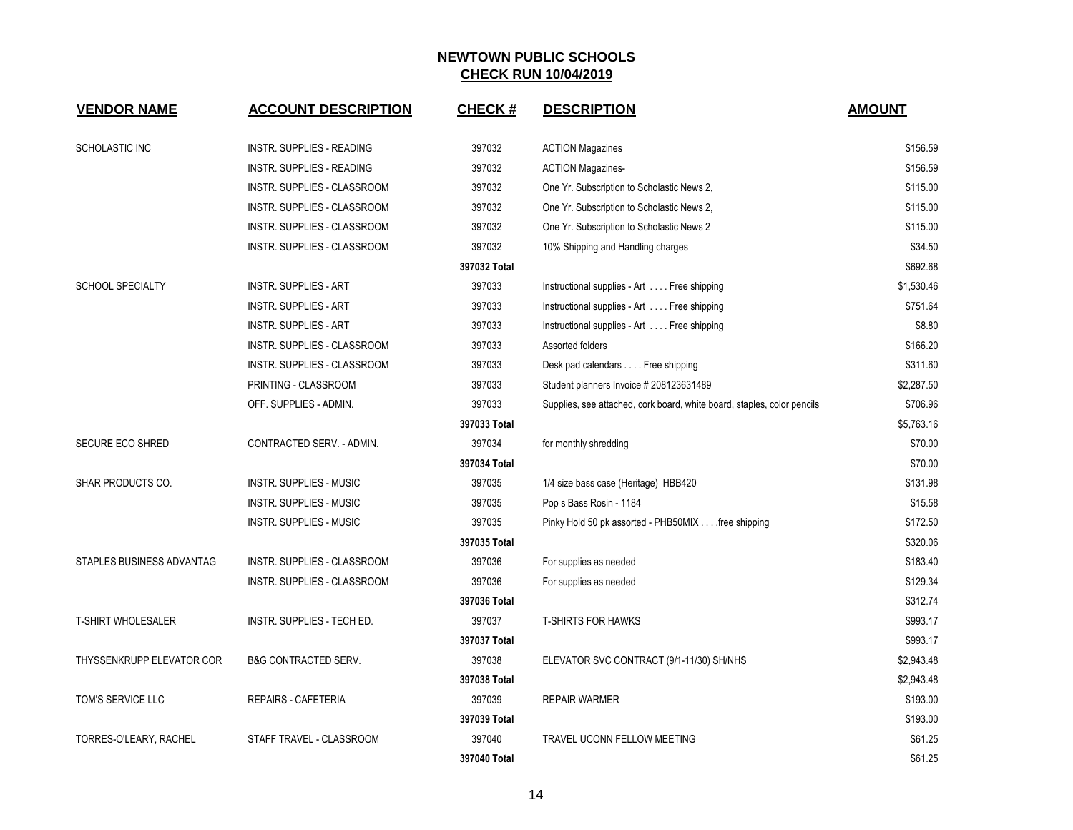| <b>VENDOR NAME</b>        | <b>ACCOUNT DESCRIPTION</b>       | <b>CHECK#</b> | <b>DESCRIPTION</b>                                                      | <b>AMOUNT</b> |
|---------------------------|----------------------------------|---------------|-------------------------------------------------------------------------|---------------|
| SCHOLASTIC INC            | <b>INSTR. SUPPLIES - READING</b> | 397032        | <b>ACTION Magazines</b>                                                 | \$156.59      |
|                           | INSTR. SUPPLIES - READING        | 397032        | <b>ACTION Magazines-</b>                                                | \$156.59      |
|                           | INSTR. SUPPLIES - CLASSROOM      | 397032        | One Yr. Subscription to Scholastic News 2,                              | \$115.00      |
|                           | INSTR. SUPPLIES - CLASSROOM      | 397032        | One Yr. Subscription to Scholastic News 2,                              | \$115.00      |
|                           | INSTR. SUPPLIES - CLASSROOM      | 397032        | One Yr. Subscription to Scholastic News 2                               | \$115.00      |
|                           | INSTR. SUPPLIES - CLASSROOM      | 397032        | 10% Shipping and Handling charges                                       | \$34.50       |
|                           |                                  | 397032 Total  |                                                                         | \$692.68      |
| <b>SCHOOL SPECIALTY</b>   | <b>INSTR. SUPPLIES - ART</b>     | 397033        | Instructional supplies - Art Free shipping                              | \$1,530.46    |
|                           | <b>INSTR. SUPPLIES - ART</b>     | 397033        | Instructional supplies - Art Free shipping                              | \$751.64      |
|                           | <b>INSTR. SUPPLIES - ART</b>     | 397033        | Instructional supplies - Art Free shipping                              | \$8.80        |
|                           | INSTR. SUPPLIES - CLASSROOM      | 397033        | Assorted folders                                                        | \$166.20      |
|                           | INSTR. SUPPLIES - CLASSROOM      | 397033        | Desk pad calendars Free shipping                                        | \$311.60      |
|                           | PRINTING - CLASSROOM             | 397033        | Student planners Invoice # 208123631489                                 | \$2,287.50    |
|                           | OFF. SUPPLIES - ADMIN.           | 397033        | Supplies, see attached, cork board, white board, staples, color pencils | \$706.96      |
|                           |                                  | 397033 Total  |                                                                         | \$5,763.16    |
| <b>SECURE ECO SHRED</b>   | CONTRACTED SERV. - ADMIN.        | 397034        | for monthly shredding                                                   | \$70.00       |
|                           |                                  | 397034 Total  |                                                                         | \$70.00       |
| SHAR PRODUCTS CO.         | <b>INSTR. SUPPLIES - MUSIC</b>   | 397035        | 1/4 size bass case (Heritage) HBB420                                    | \$131.98      |
|                           | <b>INSTR. SUPPLIES - MUSIC</b>   | 397035        | Pop s Bass Rosin - 1184                                                 | \$15.58       |
|                           | <b>INSTR. SUPPLIES - MUSIC</b>   | 397035        | Pinky Hold 50 pk assorted - PHB50MIX free shipping                      | \$172.50      |
|                           |                                  | 397035 Total  |                                                                         | \$320.06      |
| STAPLES BUSINESS ADVANTAG | INSTR. SUPPLIES - CLASSROOM      | 397036        | For supplies as needed                                                  | \$183.40      |
|                           | INSTR. SUPPLIES - CLASSROOM      | 397036        | For supplies as needed                                                  | \$129.34      |
|                           |                                  | 397036 Total  |                                                                         | \$312.74      |
| <b>T-SHIRT WHOLESALER</b> | INSTR. SUPPLIES - TECH ED.       | 397037        | <b>T-SHIRTS FOR HAWKS</b>                                               | \$993.17      |
|                           |                                  | 397037 Total  |                                                                         | \$993.17      |
| THYSSENKRUPP ELEVATOR COR | <b>B&amp;G CONTRACTED SERV.</b>  | 397038        | ELEVATOR SVC CONTRACT (9/1-11/30) SH/NHS                                | \$2,943.48    |
|                           |                                  | 397038 Total  |                                                                         | \$2,943.48    |
| TOM'S SERVICE LLC         | <b>REPAIRS - CAFETERIA</b>       | 397039        | <b>REPAIR WARMER</b>                                                    | \$193.00      |
|                           |                                  | 397039 Total  |                                                                         | \$193.00      |
| TORRES-O'LEARY, RACHEL    | STAFF TRAVEL - CLASSROOM         | 397040        | TRAVEL UCONN FELLOW MEETING                                             | \$61.25       |
|                           |                                  | 397040 Total  |                                                                         | \$61.25       |